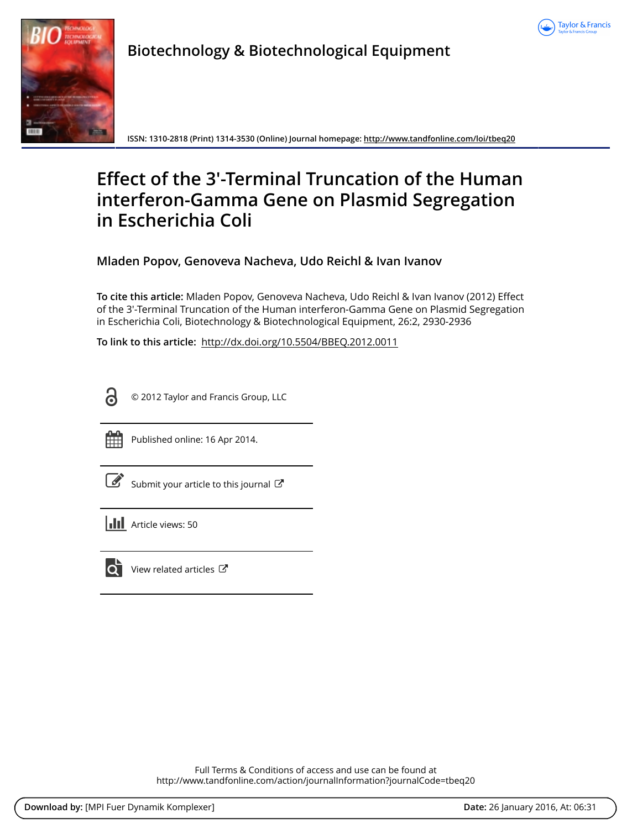



**Biotechnology & Biotechnological Equipment**

**ISSN: 1310-2818 (Print) 1314-3530 (Online) Journal homepage:<http://www.tandfonline.com/loi/tbeq20>**

# **Effect of the 3′-Terminal Truncation of the Human interferon-Gamma Gene on Plasmid Segregation in Escherichia Coli**

**Mladen Popov, Genoveva Nacheva, Udo Reichl & Ivan Ivanov**

**To cite this article:** Mladen Popov, Genoveva Nacheva, Udo Reichl & Ivan Ivanov (2012) Effect of the 3′-Terminal Truncation of the Human interferon-Gamma Gene on Plasmid Segregation in Escherichia Coli, Biotechnology & Biotechnological Equipment, 26:2, 2930-2936

**To link to this article:** <http://dx.doi.org/10.5504/BBEQ.2012.0011>



© 2012 Taylor and Francis Group, LLC



Published online: 16 Apr 2014.

[Submit your article to this journal](http://www.tandfonline.com/action/authorSubmission?journalCode=tbeq20&page=instructions)  $\mathbb{Z}$ 

**III** Article views: 50



 $\overline{Q}$  [View related articles](http://www.tandfonline.com/doi/mlt/10.5504/BBEQ.2012.0011)  $\overline{C}$ 

Full Terms & Conditions of access and use can be found at <http://www.tandfonline.com/action/journalInformation?journalCode=tbeq20>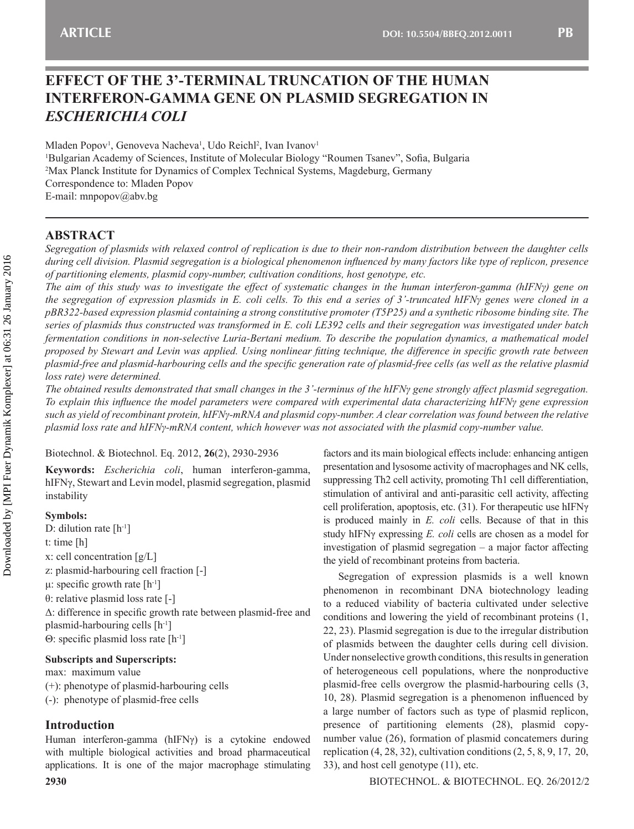## **EFFECT OF THE 3'-TERMINAL TRUNCATION OF THE HUMAN INTERFERON-GAMMA GENE ON PLASMID SEGREGATION IN**  *ESCHERICHIA COLI*

Mladen Popov<sup>1</sup>, Genoveva Nacheva<sup>1</sup>, Udo Reichl<sup>2</sup>, Ivan Ivanov<sup>1</sup> 1 Bulgarian Academy of Sciences, Institute of Molecular Biology "Roumen Tsanev", Sofia, Bulgaria 2 Max Planck Institute for Dynamics of Complex Technical Systems, Magdeburg, Germany Correspondence to: Mladen Popov E-mail: mnpopov@abv.bg

## **ABSTRACT**

*Segregation of plasmids with relaxed control of replication is due to their non-random distribution between the daughter cells during cell division. Plasmid segregation is a biological phenomenon influenced by many factors like type of replicon, presence of partitioning elements, plasmid copy-number, cultivation conditions, host genotype, etc.*

*The aim of this study was to investigate the effect of systematic changes in the human interferon-gamma (hIFNγ) gene on the segregation of expression plasmids in E. coli cells. To this end a series of 3'-truncated hIFNγ genes were cloned in a pBR322-based expression plasmid containing a strong constitutive promoter (T5P25) and a synthetic ribosome binding site. The series of plasmids thus constructed was transformed in E. coli LE392 cells and their segregation was investigated under batch fermentation conditions in non-selective Luria-Bertani medium. To describe the population dynamics, a mathematical model proposed by Stewart and Levin was applied. Using nonlinear fitting technique, the difference in specific growth rate between plasmid-free and plasmid-harbouring cells and the specific generation rate of plasmid-free cells (as well as the relative plasmid loss rate) were determined.*

*The obtained results demonstrated that small changes in the 3'-terminus of the hIFNγ gene strongly affect plasmid segregation. To explain this influence the model parameters were compared with experimental data characterizing hIFNγ gene expression such as yield of recombinant protein, hIFNγ-mRNA and plasmid copy-number. A clear correlation was found between the relative plasmid loss rate and hIFNγ-mRNA content, which however was not associated with the plasmid copy-number value.*

Biotechnol. & Biotechnol. Eq. 2012, **26**(2), 2930-2936

**Keywords:** *Escherichia coli*, human interferon-gamma, hIFNγ, Stewart and Levin model, plasmid segregation, plasmid instability

## **Symbols:**

D: dilution rate [h<sup>-1</sup>] t: time [h] x: cell concentration [g/L] z: plasmid-harbouring cell fraction [-] μ: specific growth rate  $[h<sup>-1</sup>]$ θ: relative plasmid loss rate [-] Δ: difference in specific growth rate between plasmid-free and plasmid-harbouring cells [h-1] Θ: specific plasmid loss rate [h-1]

**Subscripts and Superscripts:**

max: maximum value

(+): phenotype of plasmid-harbouring cells

(-): phenotype of plasmid-free cells

## **Introduction**

Human interferon-gamma (hIFNγ) is a cytokine endowed with multiple biological activities and broad pharmaceutical applications. It is one of the major macrophage stimulating

factors and its main biological effects include: enhancing antigen presentation and lysosome activity of macrophages and NK cells, suppressing Th2 cell activity, promoting Th1 cell differentiation, stimulation of antiviral and anti-parasitic cell activity, affecting cell proliferation, apoptosis, etc. (31). For therapeutic use hIFNγ is produced mainly in *E. coli* cells. Because of that in this study hIFNγ expressing *E. coli* cells are chosen as a model for investigation of plasmid segregation – a major factor affecting the yield of recombinant proteins from bacteria.

Segregation of expression plasmids is a well known phenomenon in recombinant DNA biotechnology leading to a reduced viability of bacteria cultivated under selective conditions and lowering the yield of recombinant proteins (1, 22, 23). Plasmid segregation is due to the irregular distribution of plasmids between the daughter cells during cell division. Under nonselective growth conditions, this results in generation of heterogeneous cell populations, where the nonproductive plasmid-free cells overgrow the plasmid-harbouring cells (3, 10, 28). Plasmid segregation is a phenomenon influenced by a large number of factors such as type of plasmid replicon, presence of partitioning elements (28), plasmid copynumber value (26), formation of plasmid concatemers during replication  $(4, 28, 32)$ , cultivation conditions  $(2, 5, 8, 9, 17, 20, 17, 20)$ 33), and host cell genotype (11), etc.

Biotechnol. & Biotechnol. Eq. 26/2012/2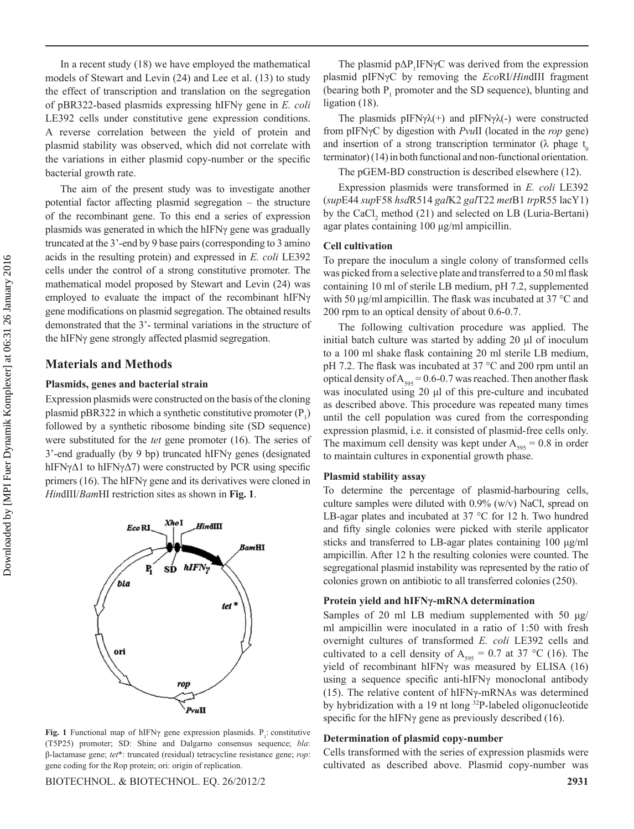In a recent study (18) we have employed the mathematical models of Stewart and Levin (24) and Lee et al. (13) to study the effect of transcription and translation on the segregation of pBR322-based plasmids expressing hIFNγ gene in *E. coli* LE392 cells under constitutive gene expression conditions. A reverse correlation between the yield of protein and plasmid stability was observed, which did not correlate with the variations in either plasmid copy-number or the specific bacterial growth rate.

The aim of the present study was to investigate another potential factor affecting plasmid segregation – the structure of the recombinant gene. To this end a series of expression plasmids was generated in which the hIFNγ gene was gradually truncated at the 3'-end by 9 base pairs (corresponding to 3 amino acids in the resulting protein) and expressed in *E. coli* LE392 cells under the control of a strong constitutive promoter. The mathematical model proposed by Stewart and Levin (24) was employed to evaluate the impact of the recombinant hIFNγ gene modifications on plasmid segregation. The obtained results demonstrated that the 3'- terminal variations in the structure of the hIFNγ gene strongly affected plasmid segregation.

## **Materials and Methods**

#### **Plasmids, genes and bacterial strain**

Expression plasmids were constructed on the basis of the cloning plasmid pBR322 in which a synthetic constitutive promoter  $(P_1)$ followed by a synthetic ribosome binding site (SD sequence) were substituted for the *tet* gene promoter (16). The series of 3'-end gradually (by 9 bp) truncated hIFNγ genes (designated hIFNγΔ1 to hIFNγΔ7) were constructed by PCR using specific primers (16). The hIFNγ gene and its derivatives were cloned in *Hin*dIII/*Bam*HI restriction sites as shown in **Fig. 1**.



**Fig. 1** Functional map of hIFN $\gamma$  gene expression plasmids.  $P_1$ : constitutive (T5P25) promoter; SD: Shine and Dalgarno consensus sequence; *bla*: β-lactamase gene; *tet*\*: truncated (residual) tetracycline resistance gene; *rop*: gene coding for the Rop protein; ori: origin of replication.

Biotechnol. & Biotechnol. Eq. 26/2012/2 **2931**

The plasmid  $p\Delta P$ <sub>1</sub>IFN $\gamma$ C was derived from the expression plasmid pIFNγC by removing the *Eco*RI/*Hin*dIII fragment (bearing both  $P_1$  promoter and the SD sequence), blunting and ligation (18).

The plasmids  $pIFN\gamma\lambda(+)$  and  $pIFN\gamma\lambda(-)$  were constructed from pIFNγC by digestion with *Pvu*II (located in the *rop* gene) and insertion of a strong transcription terminator ( $\lambda$  phage t<sub>0</sub> terminator) (14) in both functional and non-functional orientation.

The pGEM-BD construction is described elsewhere (12).

Expression plasmids were transformed in *E. coli* LE392 (*sup*E44 *sup*F58 *hsd*R514 *gal*K2 *gal*T22 *met*B1 *trp*R55 lacY1) by the  $CaCl<sub>2</sub>$  method (21) and selected on LB (Luria-Bertani) agar plates containing 100 μg/ml ampicillin.

#### **Cell cultivation**

To prepare the inoculum a single colony of transformed cells was picked from a selective plate and transferred to a 50 ml flask containing 10 ml of sterile LB medium, pH 7.2, supplemented with 50 μg/ml ampicillin. The flask was incubated at 37 °C and 200 rpm to an optical density of about 0.6-0.7.

The following cultivation procedure was applied. The initial batch culture was started by adding 20 μl of inoculum to a 100 ml shake flask containing 20 ml sterile LB medium, pH 7.2. The flask was incubated at 37 °C and 200 rpm until an optical density of  $A_{595} = 0.6-0.7$  was reached. Then another flask was inoculated using 20 μl of this pre-culture and incubated as described above. This procedure was repeated many times until the cell population was cured from the corresponding expression plasmid, i.e. it consisted of plasmid-free cells only. The maximum cell density was kept under  $A_{595} = 0.8$  in order to maintain cultures in exponential growth phase.

#### **Plasmid stability assay**

To determine the percentage of plasmid-harbouring cells, culture samples were diluted with 0.9% (w/v) NaCl, spread on LB-agar plates and incubated at 37 °C for 12 h. Two hundred and fifty single colonies were picked with sterile applicator sticks and transferred to LB-agar plates containing 100 μg/ml ampicillin. After 12 h the resulting colonies were counted. The segregational plasmid instability was represented by the ratio of colonies grown on antibiotic to all transferred colonies (250).

#### **Protein yield and hIFNγ-mRNA determination**

Samples of 20 ml LB medium supplemented with 50 μg/ ml ampicillin were inoculated in a ratio of 1:50 with fresh overnight cultures of transformed *E. coli* LE392 cells and cultivated to a cell density of  $A_{595} = 0.7$  at 37 °C (16). The yield of recombinant hIFNγ was measured by ELISA (16) using a sequence specific anti-hIFNγ monoclonal antibody (15). The relative content of hIFNγ-mRNAs was determined by hybridization with a 19 nt long <sup>32</sup>P-labeled oligonucleotide specific for the hIFNγ gene as previously described (16).

#### **Determination of plasmid copy-number**

Cells transformed with the series of expression plasmids were cultivated as described above. Plasmid copy-number was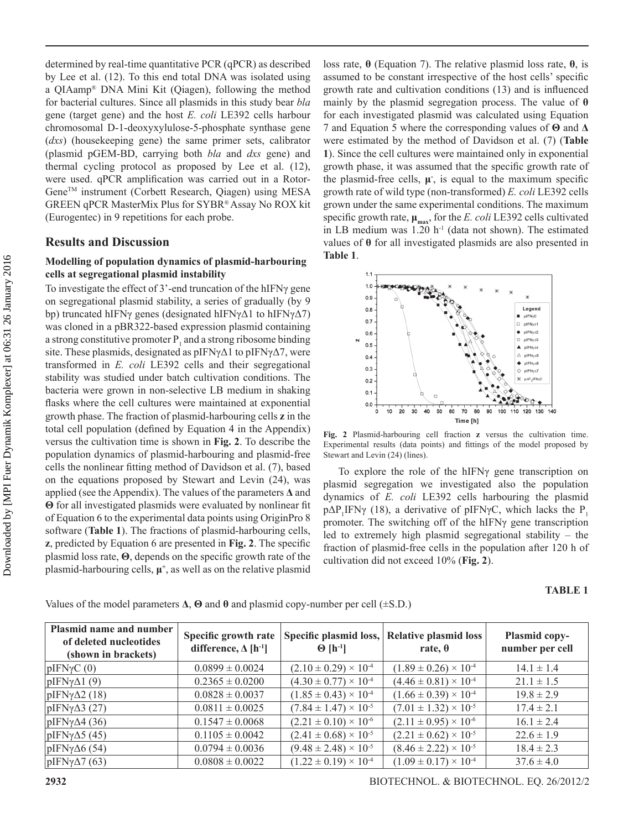determined by real-time quantitative PCR (qPCR) as described by Lee et al. (12). To this end total DNA was isolated using a QIAamp® DNA Mini Kit (Qiagen), following the method for bacterial cultures. Since all plasmids in this study bear *bla* gene (target gene) and the host *E. coli* LE392 cells harbour chromosomal D-1-deoxyxylulose-5-phosphate synthase gene (*dxs*) (housekeeping gene) the same primer sets, calibrator (plasmid pGEM-BD, carrying both *bla* and *dxs* gene) and thermal cycling protocol as proposed by Lee et al. (12), were used. qPCR amplification was carried out in a Rotor-GeneTM instrument (Corbett Research, Qiagen) using MESA GREEN qPCR MasterMix Plus for SYBR® Assay No ROX kit (Eurogentec) in 9 repetitions for each probe.

### **Results and Discussion**

## **Modelling of population dynamics of plasmid-harbouring cells at segregational plasmid instability**

To investigate the effect of 3'-end truncation of the hIFNγ gene on segregational plasmid stability, a series of gradually (by 9 bp) truncated hIFNγ genes (designated hIFNγΔ1 to hIFNγΔ7) was cloned in a pBR322-based expression plasmid containing a strong constitutive promoter  $P_1$  and a strong ribosome binding site. These plasmids, designated as  $pIFN\gamma\Delta 1$  to  $pIFN\gamma\Delta 7$ , were transformed in *E. coli* LE392 cells and their segregational stability was studied under batch cultivation conditions. The bacteria were grown in non-selective LB medium in shaking flasks where the cell cultures were maintained at exponential growth phase. The fraction of plasmid-harbouring cells **z** in the total cell population (defined by Equation 4 in the Appendix) versus the cultivation time is shown in **Fig. 2**. To describe the population dynamics of plasmid-harbouring and plasmid-free cells the nonlinear fitting method of Davidson et al. (7), based on the equations proposed by Stewart and Levin (24), was applied (see the Appendix). The values of the parameters **Δ** and **Θ** for all investigated plasmids were evaluated by nonlinear fit of Equation 6 to the experimental data points using OriginPro 8 software (**Table 1**). The fractions of plasmid-harbouring cells, **z**, predicted by Equation 6 are presented in **Fig. 2**. The specific plasmid loss rate, **Θ**, depends on the specific growth rate of the plasmid-harbouring cells, **μ<sup>+</sup>** , as well as on the relative plasmid loss rate, **θ** (Equation 7). The relative plasmid loss rate, **θ**, is assumed to be constant irrespective of the host cells' specific growth rate and cultivation conditions (13) and is influenced mainly by the plasmid segregation process. The value of **θ** for each investigated plasmid was calculated using Equation 7 and Equation 5 where the corresponding values of **Θ** and **Δ** were estimated by the method of Davidson et al. (7) (**Table 1**). Since the cell cultures were maintained only in exponential growth phase, it was assumed that the specific growth rate of the plasmid-free cells,  $\mu$ , is equal to the maximum specific growth rate of wild type (non-transformed) *E. coli* LE392 cells grown under the same experimental conditions. The maximum specific growth rate,  $\mu_{\text{max}}$ , for the *E. coli* LE392 cells cultivated in LB medium was  $1.20$  h<sup>-1</sup> (data not shown). The estimated values of **θ** for all investigated plasmids are also presented in **Table 1**.



**Fig. 2** Plasmid-harbouring cell fraction **z** versus the cultivation time. Experimental results (data points) and fittings of the model proposed by Stewart and Levin (24) (lines).

To explore the role of the hIFNγ gene transcription on plasmid segregation we investigated also the population dynamics of *E. coli* LE392 cells harbouring the plasmid  $p\Delta P_1$ IFNγ (18), a derivative of pIFNγC, which lacks the P<sub>1</sub> promoter. The switching off of the hIFNγ gene transcription led to extremely high plasmid segregational stability – the fraction of plasmid-free cells in the population after 120 h of cultivation did not exceed 10% (**Fig. 2**).

**TABLE 1** 

| Plasmid name and number<br>of deleted nucleotides<br>(shown in brackets) | Specific growth rate<br>difference, $\Delta$ [h <sup>-1</sup> ] | $\Theta$ [h <sup>-1</sup> ]      | Specific plasmid loss, Relative plasmid loss<br>rate, $\theta$ | Plasmid copy-<br>number per cell |
|--------------------------------------------------------------------------|-----------------------------------------------------------------|----------------------------------|----------------------------------------------------------------|----------------------------------|
| $ pIFN\gamma C(0) $                                                      | $0.0899 \pm 0.0024$                                             | $(2.10 \pm 0.29) \times 10^{-4}$ | $(1.89 \pm 0.26) \times 10^{-4}$                               | $14.1 \pm 1.4$                   |
| $pIFN\gamma\Delta 1$ (9)                                                 | $0.2365 \pm 0.0200$                                             | $(4.30 \pm 0.77) \times 10^{-4}$ | $(4.46 \pm 0.81) \times 10^{-4}$                               | $21.1 \pm 1.5$                   |
| $pIFNy\Delta2(18)$                                                       | $0.0828 \pm 0.0037$                                             | $(1.85 \pm 0.43) \times 10^{-4}$ | $(1.66 \pm 0.39) \times 10^{-4}$                               | $19.8 \pm 2.9$                   |
| $pIFN\gamma\Delta 3$ (27)                                                | $0.0811 \pm 0.0025$                                             | $(7.84 \pm 1.47) \times 10^{-5}$ | $(7.01 \pm 1.32) \times 10^{-5}$                               | $17.4 \pm 2.1$                   |
| $pIFN\gamma\Delta 4$ (36)                                                | $0.1547 \pm 0.0068$                                             | $(2.21 \pm 0.10) \times 10^{-6}$ | $(2.11 \pm 0.95) \times 10^{-6}$                               | $16.1 \pm 2.4$                   |
| $ pIFN\gamma\Delta 5 (45)$                                               | $0.1105 \pm 0.0042$                                             | $(2.41 \pm 0.68) \times 10^{-5}$ | $(2.21 \pm 0.62) \times 10^{-5}$                               | $22.6 \pm 1.9$                   |
| $pIFN\gamma\Delta 6$ (54)                                                | $0.0794 \pm 0.0036$                                             | $(9.48 \pm 2.48) \times 10^{-5}$ | $(8.46 \pm 2.22) \times 10^{-5}$                               | $18.4 \pm 2.3$                   |
| $pIFN\gamma\Delta7(63)$                                                  | $0.0808 \pm 0.0022$                                             | $(1.22 \pm 0.19) \times 10^{-4}$ | $(1.09 \pm 0.17) \times 10^{-4}$                               | $37.6 \pm 4.0$                   |

Values of the model parameters **Δ**, **Θ** and **θ** and plasmid copy-number per cell (±S.D.)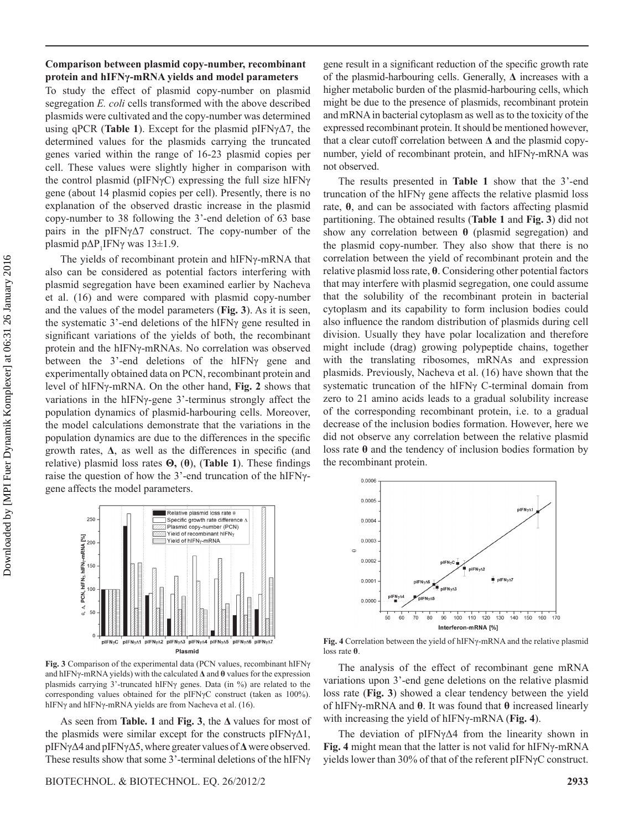#### **Comparison between plasmid copy-number, recombinant protein and hIFNγ-mRNA yields and model parameters**

To study the effect of plasmid copy-number on plasmid segregation *E. coli* cells transformed with the above described plasmids were cultivated and the copy-number was determined using qPCR (**Table 1**). Except for the plasmid pIFNγΔ7, the determined values for the plasmids carrying the truncated genes varied within the range of 16-23 plasmid copies per cell. These values were slightly higher in comparison with the control plasmid (pIFNγC) expressing the full size hIFNγ gene (about 14 plasmid copies per cell). Presently, there is no explanation of the observed drastic increase in the plasmid copy-number to 38 following the 3'-end deletion of 63 base pairs in the pIFNγΔ7 construct. The copy-number of the plasmid  $pΔP_1IFNγ$  was  $13±1.9$ .

The yields of recombinant protein and hIFNγ-mRNA that also can be considered as potential factors interfering with plasmid segregation have been examined earlier by Nacheva et al. (16) and were compared with plasmid copy-number and the values of the model parameters (**Fig. 3**). As it is seen, the systematic 3'-end deletions of the hIFNγ gene resulted in significant variations of the yields of both, the recombinant protein and the hIFNγ-mRNAs. No correlation was observed between the 3'-end deletions of the hIFNγ gene and experimentally obtained data on PCN, recombinant protein and level of hIFNγ-mRNA. On the other hand, **Fig. 2** shows that variations in the hIFNγ-gene 3'-terminus strongly affect the population dynamics of plasmid-harbouring cells. Moreover, the model calculations demonstrate that the variations in the population dynamics are due to the differences in the specific growth rates, **Δ**, as well as the differences in specific (and relative) plasmid loss rates **Θ,** (**θ**), (**Table 1**). These findings raise the question of how the 3'-end truncation of the hIFNγgene affects the model parameters.



**Fig. 3** Comparison of the experimental data (PCN values, recombinant hIFNγ and hIFNγ-mRNA yields) with the calculated **Δ** and **θ** values for the expression plasmids carrying 3'-truncated hIFNγ genes. Data (in %) are related to the corresponding values obtained for the pIFNγC construct (taken as 100%). hIFNγ and hIFNγ-mRNA yields are from Nacheva et al. (16).

As seen from **Table. 1** and **Fig. 3**, the **Δ** values for most of the plasmids were similar except for the constructs  $pIFN\gamma\Delta 1$ , pIFNγΔ4 and pIFNγΔ5, where greater values of **Δ** were observed. These results show that some 3'-terminal deletions of the hIFNγ

gene result in a significant reduction of the specific growth rate of the plasmid-harbouring cells. Generally, **Δ** increases with a higher metabolic burden of the plasmid-harbouring cells, which might be due to the presence of plasmids, recombinant protein and mRNA in bacterial cytoplasm as well as to the toxicity of the expressed recombinant protein. It should be mentioned however, that a clear cutoff correlation between **Δ** and the plasmid copynumber, yield of recombinant protein, and hIFNγ-mRNA was not observed.

The results presented in **Table 1** show that the 3'-end truncation of the hIFNγ gene affects the relative plasmid loss rate, **θ**, and can be associated with factors affecting plasmid partitioning. The obtained results (**Table 1** and **Fig. 3**) did not show any correlation between **θ** (plasmid segregation) and the plasmid copy-number. They also show that there is no correlation between the yield of recombinant protein and the relative plasmid loss rate, **θ**. Considering other potential factors that may interfere with plasmid segregation, one could assume that the solubility of the recombinant protein in bacterial cytoplasm and its capability to form inclusion bodies could also influence the random distribution of plasmids during cell division. Usually they have polar localization and therefore might include (drag) growing polypeptide chains, together with the translating ribosomes, mRNAs and expression plasmids. Previously, Nacheva et al. (16) have shown that the systematic truncation of the hIFNγ C-terminal domain from zero to 21 amino acids leads to a gradual solubility increase of the corresponding recombinant protein, i.e. to a gradual decrease of the inclusion bodies formation. However, here we did not observe any correlation between the relative plasmid loss rate **θ** and the tendency of inclusion bodies formation by the recombinant protein.



**Fig. 4** Correlation between the yield of hIFNγ-mRNA and the relative plasmid loss rate **θ**.

The analysis of the effect of recombinant gene mRNA variations upon 3'-end gene deletions on the relative plasmid loss rate (**Fig. 3**) showed a clear tendency between the yield of hIFNγ-mRNA and **θ**. It was found that **θ** increased linearly with increasing the yield of hIFNγ-mRNA (**Fig. 4**).

The deviation of pIFNγΔ4 from the linearity shown in **Fig. 4** might mean that the latter is not valid for hIFNγ-mRNA yields lower than 30% of that of the referent pIFNγC construct.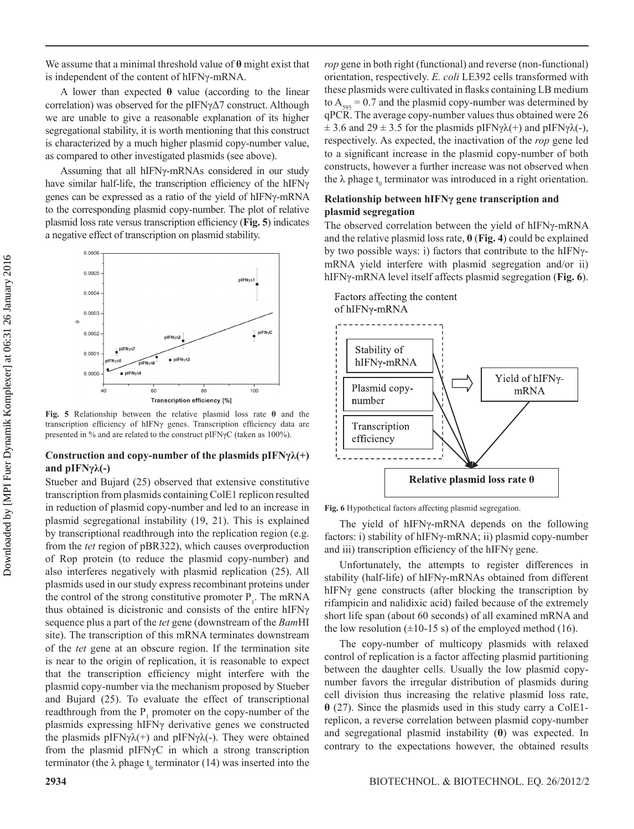We assume that a minimal threshold value of **θ** might exist that is independent of the content of hIFNγ-mRNA.

A lower than expected **θ** value (according to the linear correlation) was observed for the pIFNγΔ7 construct. Although we are unable to give a reasonable explanation of its higher segregational stability, it is worth mentioning that this construct is characterized by a much higher plasmid copy-number value, as compared to other investigated plasmids (see above).

Assuming that all hIFNγ-mRNAs considered in our study have similar half-life, the transcription efficiency of the hIFNγ genes can be expressed as a ratio of the yield of hIFNγ-mRNA to the corresponding plasmid copy-number. The plot of relative plasmid loss rate versus transcription efficiency (**Fig. 5**) indicates a negative effect of transcription on plasmid stability.



**Fig. 5** Relationship between the relative plasmid loss rate **θ** and the transcription efficiency of hIFNγ genes. Transcription efficiency data are presented in % and are related to the construct pIFNγC (taken as 100%).

## **Construction and copy-number of the plasmids pIFNγλ(+) and pIFNγλ(-)**

Stueber and Bujard (25) observed that extensive constitutive transcription from plasmids containing ColE1 replicon resulted in reduction of plasmid copy-number and led to an increase in plasmid segregational instability (19, 21). This is explained by transcriptional readthrough into the replication region (e.g. from the *tet* region of pBR322), which causes overproduction of Rop protein (to reduce the plasmid copy-number) and also interferes negatively with plasmid replication (25). All plasmids used in our study express recombinant proteins under the control of the strong constitutive promoter  $P_1$ . The mRNA thus obtained is dicistronic and consists of the entire hIFNγ sequence plus a part of the *tet* gene (downstream of the *Bam*HI site). The transcription of this mRNA terminates downstream of the *tet* gene at an obscure region. If the termination site is near to the origin of replication, it is reasonable to expect that the transcription efficiency might interfere with the plasmid copy-number via the mechanism proposed by Stueber and Bujard (25). To evaluate the effect of transcriptional readthrough from the  $P_1$  promoter on the copy-number of the plasmids expressing hIFNγ derivative genes we constructed the plasmids pIFN $\gamma \lambda$ (+) and pIFN $\gamma \lambda$ (-). They were obtained from the plasmid pIFNγC in which a strong transcription terminator (the  $\lambda$  phage  $t_0$  terminator (14) was inserted into the *rop* gene in both right (functional) and reverse (non-functional) orientation, respectively. *E. coli* LE392 cells transformed with these plasmids were cultivated in flasks containing LB medium to  $A_{595} = 0.7$  and the plasmid copy-number was determined by qPCR. The average copy-number values thus obtained were 26  $\pm$  3.6 and 29  $\pm$  3.5 for the plasmids pIFNγ $\lambda$ (+) and pIFNγ $\lambda$ (-), respectively. As expected, the inactivation of the *rop* gene led to a significant increase in the plasmid copy-number of both constructs, however a further increase was not observed when the  $\lambda$  phage  $t_0$  terminator was introduced in a right orientation.

#### **Relationship between hIFNγ gene transcription and plasmid segregation**

The observed correlation between the yield of hIFNγ-mRNA and the relative plasmid loss rate, **θ** (**Fig. 4**) could be explained by two possible ways: i) factors that contribute to the hIFNγmRNA yield interfere with plasmid segregation and/or ii) hIFNγ-mRNA level itself affects plasmid segregation (**Fig. 6**).



**Fig. 6** Hypothetical factors affecting plasmid segregation.

The yield of hIFNγ-mRNA depends on the following factors: i) stability of hIFNγ-mRNA; ii) plasmid copy-number and iii) transcription efficiency of the hIFNγ gene.

Unfortunately, the attempts to register differences in stability (half-life) of hIFNγ-mRNAs obtained from different hIFNγ gene constructs (after blocking the transcription by rifampicin and nalidixic acid) failed because of the extremely short life span (about 60 seconds) of all examined mRNA and the low resolution  $(\pm 10{\text -}15 \text{ s})$  of the employed method (16).

The copy-number of multicopy plasmids with relaxed control of replication is a factor affecting plasmid partitioning between the daughter cells. Usually the low plasmid copynumber favors the irregular distribution of plasmids during cell division thus increasing the relative plasmid loss rate, **θ** (27). Since the plasmids used in this study carry a ColE1 replicon, a reverse correlation between plasmid copy-number and segregational plasmid instability (**θ**) was expected. In contrary to the expectations however, the obtained results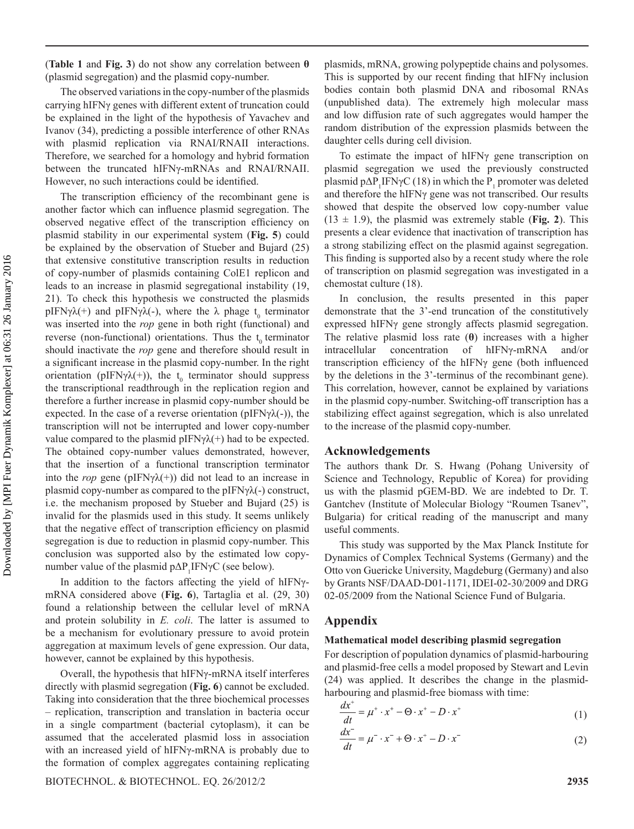(**Table 1** and **Fig. 3**) do not show any correlation between **θ**  (plasmid segregation) and the plasmid copy-number.

The observed variations in the copy-number of the plasmids carrying hIFNγ genes with different extent of truncation could be explained in the light of the hypothesis of Yavachev and Ivanov (34), predicting a possible interference of other RNAs with plasmid replication via RNAI/RNAII interactions. Therefore, we searched for a homology and hybrid formation between the truncated hIFNγ-mRNAs and RNAI/RNAII. However, no such interactions could be identified.

The transcription efficiency of the recombinant gene is another factor which can influence plasmid segregation. The observed negative effect of the transcription efficiency on plasmid stability in our experimental system (**Fig. 5**) could be explained by the observation of Stueber and Bujard (25) that extensive constitutive transcription results in reduction of copy-number of plasmids containing ColE1 replicon and leads to an increase in plasmid segregational instability (19, 21). To check this hypothesis we constructed the plasmids pIFN $\gamma \lambda$ (+) and pIFN $\gamma \lambda$ (-), where the  $\lambda$  phage t<sub>0</sub> terminator was inserted into the *rop* gene in both right (functional) and reverse (non-functional) orientations. Thus the  $t_0$  terminator should inactivate the *rop* gene and therefore should result in a significant increase in the plasmid copy-number. In the right orientation (pIFN $\gamma \lambda$ (+)), the t<sub>0</sub> terminator should suppress the transcriptional readthrough in the replication region and therefore a further increase in plasmid copy-number should be expected. In the case of a reverse orientation ( $pIFN\gamma\lambda(-)$ ), the transcription will not be interrupted and lower copy-number value compared to the plasmid pIFN $\gamma \lambda$ (+) had to be expected. The obtained copy-number values demonstrated, however, that the insertion of a functional transcription terminator into the *rop* gene (pIFN $\gamma \lambda$ (+)) did not lead to an increase in plasmid copy-number as compared to the pIFN $\gamma \lambda$ (-) construct, i.e. the mechanism proposed by Stueber and Bujard (25) is invalid for the plasmids used in this study. It seems unlikely that the negative effect of transcription efficiency on plasmid segregation is due to reduction in plasmid copy-number. This conclusion was supported also by the estimated low copynumber value of the plasmid  $p\Delta P_1$ IFN $\gamma$ C (see below).

In addition to the factors affecting the yield of hIFNγmRNA considered above (**Fig. 6**), Tartaglia et al. (29, 30) found a relationship between the cellular level of mRNA and protein solubility in *E. coli*. The latter is assumed to be a mechanism for evolutionary pressure to avoid protein aggregation at maximum levels of gene expression. Our data, however, cannot be explained by this hypothesis.

Overall, the hypothesis that hIFNγ-mRNA itself interferes directly with plasmid segregation (**Fig. 6**) cannot be excluded. Taking into consideration that the three biochemical processes – replication, transcription and translation in bacteria occur in a single compartment (bacterial cytoplasm), it can be assumed that the accelerated plasmid loss in association with an increased yield of hIFNγ-mRNA is probably due to the formation of complex aggregates containing replicating

Biotechnol. & Biotechnol. Eq. 26/2012/2 **2935**

plasmids, mRNA, growing polypeptide chains and polysomes. This is supported by our recent finding that hIFNγ inclusion bodies contain both plasmid DNA and ribosomal RNAs (unpublished data). The extremely high molecular mass and low diffusion rate of such aggregates would hamper the random distribution of the expression plasmids between the daughter cells during cell division.

To estimate the impact of hIFNγ gene transcription on plasmid segregation we used the previously constructed plasmid  $p\Delta P_1$ IFN $\gamma$ C (18) in which the  $P_1$  promoter was deleted and therefore the hIFNγ gene was not transcribed. Our results showed that despite the observed low copy-number value  $(13 \pm 1.9)$ , the plasmid was extremely stable (**Fig. 2**). This presents a clear evidence that inactivation of transcription has a strong stabilizing effect on the plasmid against segregation. This finding is supported also by a recent study where the role of transcription on plasmid segregation was investigated in a chemostat culture (18).

In conclusion, the results presented in this paper demonstrate that the 3'-end truncation of the constitutively expressed hIFNγ gene strongly affects plasmid segregation. The relative plasmid loss rate (**θ**) increases with a higher intracellular concentration of hIFNγ-mRNA and/or transcription efficiency of the hIFNγ gene (both influenced by the deletions in the 3'-terminus of the recombinant gene). This correlation, however, cannot be explained by variations in the plasmid copy-number. Switching-off transcription has a stabilizing effect against segregation, which is also unrelated to the increase of the plasmid copy-number.

#### **Acknowledgements**

The authors thank Dr. S. Hwang (Pohang University of Science and Technology, Republic of Korea) for providing us with the plasmid pGEM-BD. We are indebted to Dr. T. Gantchev (Institute of Molecular Biology "Roumen Tsanev", Bulgaria) for critical reading of the manuscript and many useful comments.

This study was supported by the Max Planck Institute for Dynamics of Complex Technical Systems (Germany) and the Otto von Guericke University, Magdeburg (Germany) and also by Grants NSF/DAAD-D01-1171, IDEI-02-30/2009 and DRG 02-05/2009 from the National Science Fund of Bulgaria.

#### **Appendix**

#### **Mathematical model describing plasmid segregation**

For description of population dynamics of plasmid-harbouring and plasmid-free cells a model proposed by Stewart and Levin (24) was applied. It describes the change in the plasmidharbouring and plasmid-free biomass with time:

$$
\frac{dx^{+}}{dt} = \mu^{+} \cdot x^{+} - \Theta \cdot x^{+} - D \cdot x^{+}
$$
 (1)

$$
\frac{dx^{-}}{dt} = \mu^{-} \cdot x^{-} + \Theta \cdot x^{+} - D \cdot x^{-}
$$
 (2)